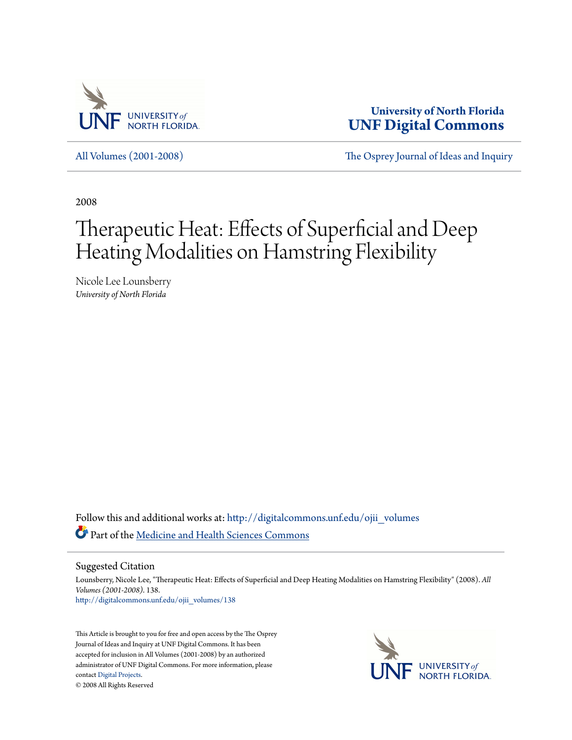

**University of North Florida [UNF Digital Commons](http://digitalcommons.unf.edu?utm_source=digitalcommons.unf.edu%2Fojii_volumes%2F138&utm_medium=PDF&utm_campaign=PDFCoverPages)**

[All Volumes \(2001-2008\)](http://digitalcommons.unf.edu/ojii_volumes?utm_source=digitalcommons.unf.edu%2Fojii_volumes%2F138&utm_medium=PDF&utm_campaign=PDFCoverPages) [The Osprey Journal of Ideas and Inquiry](http://digitalcommons.unf.edu/ojii?utm_source=digitalcommons.unf.edu%2Fojii_volumes%2F138&utm_medium=PDF&utm_campaign=PDFCoverPages)

2008

# Therapeutic Heat: Effects of Superficial and Deep Heating Modalities on Hamstring Flexibility

Nicole Lee Lounsberry *University of North Florida*

Follow this and additional works at: [http://digitalcommons.unf.edu/ojii\\_volumes](http://digitalcommons.unf.edu/ojii_volumes?utm_source=digitalcommons.unf.edu%2Fojii_volumes%2F138&utm_medium=PDF&utm_campaign=PDFCoverPages) Part of the [Medicine and Health Sciences Commons](http://network.bepress.com/hgg/discipline/648?utm_source=digitalcommons.unf.edu%2Fojii_volumes%2F138&utm_medium=PDF&utm_campaign=PDFCoverPages)

Suggested Citation

Lounsberry, Nicole Lee, "Therapeutic Heat: Effects of Superficial and Deep Heating Modalities on Hamstring Flexibility" (2008). *All Volumes (2001-2008)*. 138. [http://digitalcommons.unf.edu/ojii\\_volumes/138](http://digitalcommons.unf.edu/ojii_volumes/138?utm_source=digitalcommons.unf.edu%2Fojii_volumes%2F138&utm_medium=PDF&utm_campaign=PDFCoverPages)

This Article is brought to you for free and open access by the The Osprey Journal of Ideas and Inquiry at UNF Digital Commons. It has been accepted for inclusion in All Volumes (2001-2008) by an authorized administrator of UNF Digital Commons. For more information, please contact [Digital Projects.](mailto:lib-digital@unf.edu) © 2008 All Rights Reserved

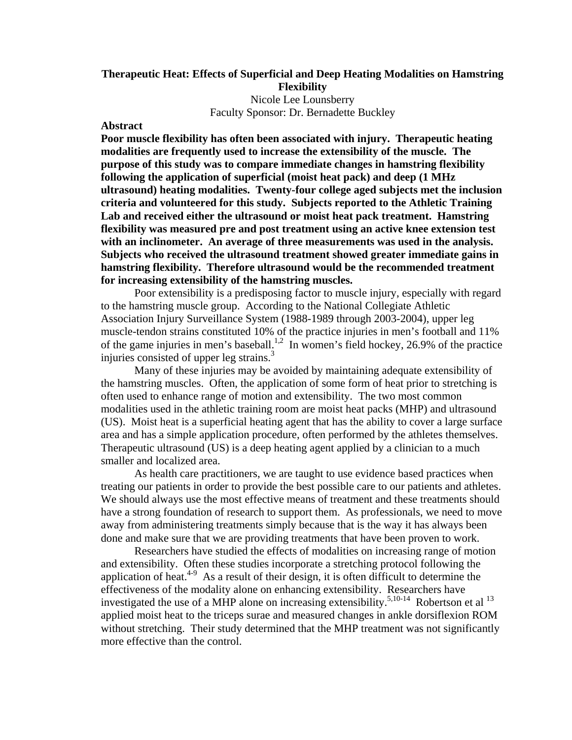# **Therapeutic Heat: Effects of Superficial and Deep Heating Modalities on Hamstring Flexibility**

Nicole Lee Lounsberry Faculty Sponsor: Dr. Bernadette Buckley

#### **Abstract**

**Poor muscle flexibility has often been associated with injury. Therapeutic heating modalities are frequently used to increase the extensibility of the muscle. The purpose of this study was to compare immediate changes in hamstring flexibility following the application of superficial (moist heat pack) and deep (1 MHz ultrasound) heating modalities. Twenty-four college aged subjects met the inclusion criteria and volunteered for this study. Subjects reported to the Athletic Training Lab and received either the ultrasound or moist heat pack treatment. Hamstring flexibility was measured pre and post treatment using an active knee extension test with an inclinometer. An average of three measurements was used in the analysis. Subjects who received the ultrasound treatment showed greater immediate gains in hamstring flexibility. Therefore ultrasound would be the recommended treatment for increasing extensibility of the hamstring muscles.** 

Poor extensibility is a predisposing factor to muscle injury, especially with regard to the hamstring muscle group. According to the National Collegiate Athletic Association Injury Surveillance System (1988-1989 through 2003-2004), upper leg muscle-tendon strains constituted 10% of the practice injuries in men's football and 11% of the game injuries in men's baseball.1,2 In women's field hockey, 26.9% of the practice injuries consisted of upper leg strains.<sup>3</sup>

Many of these injuries may be avoided by maintaining adequate extensibility of the hamstring muscles. Often, the application of some form of heat prior to stretching is often used to enhance range of motion and extensibility. The two most common modalities used in the athletic training room are moist heat packs (MHP) and ultrasound (US). Moist heat is a superficial heating agent that has the ability to cover a large surface area and has a simple application procedure, often performed by the athletes themselves. Therapeutic ultrasound (US) is a deep heating agent applied by a clinician to a much smaller and localized area.

 As health care practitioners, we are taught to use evidence based practices when treating our patients in order to provide the best possible care to our patients and athletes. We should always use the most effective means of treatment and these treatments should have a strong foundation of research to support them. As professionals, we need to move away from administering treatments simply because that is the way it has always been done and make sure that we are providing treatments that have been proven to work.

 Researchers have studied the effects of modalities on increasing range of motion and extensibility. Often these studies incorporate a stretching protocol following the application of heat. $4-9$  As a result of their design, it is often difficult to determine the effectiveness of the modality alone on enhancing extensibility. Researchers have investigated the use of a MHP alone on increasing extensibility.<sup>5,10-14</sup> Robertson et al  $^{13}$ applied moist heat to the triceps surae and measured changes in ankle dorsiflexion ROM without stretching. Their study determined that the MHP treatment was not significantly more effective than the control.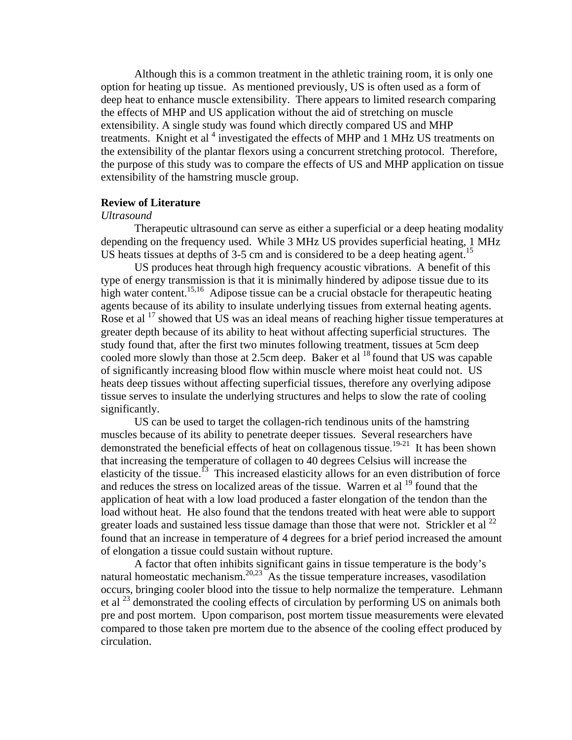Although this is a common treatment in the athletic training room, it is only one option for heating up tissue. As mentioned previously, US is often used as a form of deep heat to enhance muscle extensibility. There appears to limited research comparing the effects of MHP and US application without the aid of stretching on muscle extensibility. A single study was found which directly compared US and MHP treatments. Knight et al<sup>4</sup> investigated the effects of MHP and 1 MHz US treatments on the extensibility of the plantar flexors using a concurrent stretching protocol. Therefore, the purpose of this study was to compare the effects of US and MHP application on tissue extensibility of the hamstring muscle group.

### **Review of Literature**

#### *Ultrasound*

 Therapeutic ultrasound can serve as either a superficial or a deep heating modality depending on the frequency used. While 3 MHz US provides superficial heating, 1 MHz US heats tissues at depths of  $3-5$  cm and is considered to be a deep heating agent.<sup>15</sup>

 US produces heat through high frequency acoustic vibrations. A benefit of this type of energy transmission is that it is minimally hindered by adipose tissue due to its high water content.<sup>15,16</sup> Adipose tissue can be a crucial obstacle for therapeutic heating agents because of its ability to insulate underlying tissues from external heating agents. Rose et al  $17$  showed that US was an ideal means of reaching higher tissue temperatures at greater depth because of its ability to heat without affecting superficial structures. The study found that, after the first two minutes following treatment, tissues at 5cm deep cooled more slowly than those at 2.5cm deep. Baker et al  $^{18}$  found that US was capable of significantly increasing blood flow within muscle where moist heat could not. US heats deep tissues without affecting superficial tissues, therefore any overlying adipose tissue serves to insulate the underlying structures and helps to slow the rate of cooling significantly.

 US can be used to target the collagen-rich tendinous units of the hamstring muscles because of its ability to penetrate deeper tissues. Several researchers have demonstrated the beneficial effects of heat on collagenous tissue.<sup>19</sup>**-**21 It has been shown that increasing the temperature of collagen to 40 degrees Celsius will increase the elasticity of the tissue.<sup>13</sup> This increased elasticity allows for an even distribution of force and reduces the stress on localized areas of the tissue. Warren et al <sup>19</sup> found that the application of heat with a low load produced a faster elongation of the tendon than the load without heat. He also found that the tendons treated with heat were able to support greater loads and sustained less tissue damage than those that were not. Strickler et al<sup>22</sup> found that an increase in temperature of 4 degrees for a brief period increased the amount of elongation a tissue could sustain without rupture.

A factor that often inhibits significant gains in tissue temperature is the body's natural homeostatic mechanism.<sup>20,23</sup> As the tissue temperature increases, vasodilation occurs, bringing cooler blood into the tissue to help normalize the temperature. Lehmann et al  $^{23}$  demonstrated the cooling effects of circulation by performing US on animals both pre and post mortem. Upon comparison, post mortem tissue measurements were elevated compared to those taken pre mortem due to the absence of the cooling effect produced by circulation.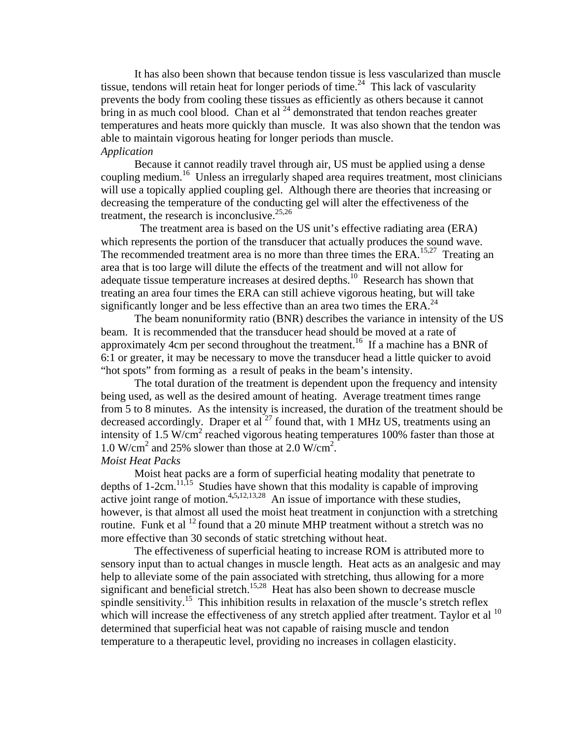It has also been shown that because tendon tissue is less vascularized than muscle tissue, tendons will retain heat for longer periods of time.<sup>24</sup> This lack of vascularity prevents the body from cooling these tissues as efficiently as others because it cannot bring in as much cool blood. Chan et al  $^{24}$  demonstrated that tendon reaches greater temperatures and heats more quickly than muscle. It was also shown that the tendon was able to maintain vigorous heating for longer periods than muscle. *Application* 

Because it cannot readily travel through air, US must be applied using a dense coupling medium.<sup>16</sup> Unless an irregularly shaped area requires treatment, most clinicians will use a topically applied coupling gel. Although there are theories that increasing or decreasing the temperature of the conducting gel will alter the effectiveness of the treatment, the research is inconclusive.  $25,26$ 

 The treatment area is based on the US unit's effective radiating area (ERA) which represents the portion of the transducer that actually produces the sound wave. The recommended treatment area is no more than three times the ERA.<sup>15,27</sup> Treating an area that is too large will dilute the effects of the treatment and will not allow for adequate tissue temperature increases at desired depths.10 Research has shown that treating an area four times the ERA can still achieve vigorous heating, but will take significantly longer and be less effective than an area two times the ERA.<sup>24</sup>

The beam nonuniformity ratio (BNR) describes the variance in intensity of the US beam. It is recommended that the transducer head should be moved at a rate of approximately 4cm per second throughout the treatment.<sup>16</sup> If a machine has a BNR of 6:1 or greater, it may be necessary to move the transducer head a little quicker to avoid "hot spots" from forming as a result of peaks in the beam's intensity.

The total duration of the treatment is dependent upon the frequency and intensity being used, as well as the desired amount of heating. Average treatment times range from 5 to 8 minutes. As the intensity is increased, the duration of the treatment should be decreased accordingly. Draper et al  $^{27}$  found that, with 1 MHz US, treatments using an intensity of 1.5 W/cm<sup>2</sup> reached vigorous heating temperatures 100% faster than those at 1.0 W/cm<sup>2</sup> and 25% slower than those at 2.0 W/cm<sup>2</sup>. *Moist Heat Packs* 

 Moist heat packs are a form of superficial heating modality that penetrate to depths of  $1\text{-}2\text{cm}^{11,15}$ . Studies have shown that this modality is capable of improving active joint range of motion.<sup>4,5,12,13,28</sup> An issue of importance with these studies, however, is that almost all used the moist heat treatment in conjunction with a stretching routine. Funk et al  $^{12}$  found that a 20 minute MHP treatment without a stretch was no more effective than 30 seconds of static stretching without heat.

 The effectiveness of superficial heating to increase ROM is attributed more to sensory input than to actual changes in muscle length. Heat acts as an analgesic and may help to alleviate some of the pain associated with stretching, thus allowing for a more significant and beneficial stretch.<sup>15,28</sup> Heat has also been shown to decrease muscle spindle sensitivity.<sup>15</sup> This inhibition results in relaxation of the muscle's stretch reflex which will increase the effectiveness of any stretch applied after treatment. Taylor et al <sup>10</sup> determined that superficial heat was not capable of raising muscle and tendon temperature to a therapeutic level, providing no increases in collagen elasticity.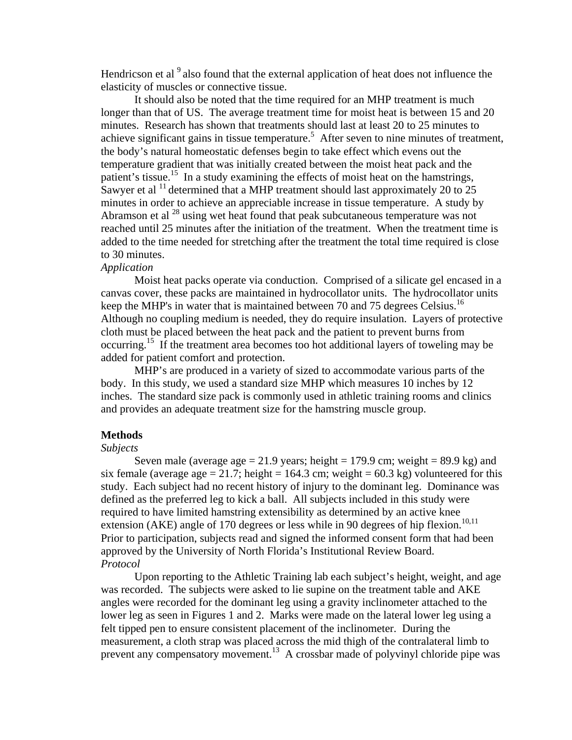Hendricson et al  $9$  also found that the external application of heat does not influence the elasticity of muscles or connective tissue.

 It should also be noted that the time required for an MHP treatment is much longer than that of US. The average treatment time for moist heat is between 15 and 20 minutes. Research has shown that treatments should last at least 20 to 25 minutes to achieve significant gains in tissue temperature.<sup>5</sup> After seven to nine minutes of treatment, the body's natural homeostatic defenses begin to take effect which evens out the temperature gradient that was initially created between the moist heat pack and the patient's tissue.<sup>15</sup> In a study examining the effects of moist heat on the hamstrings, Sawyer et al  $^{11}$  determined that a MHP treatment should last approximately 20 to 25 minutes in order to achieve an appreciable increase in tissue temperature. A study by Abramson et al  $^{28}$  using wet heat found that peak subcutaneous temperature was not reached until 25 minutes after the initiation of the treatment. When the treatment time is added to the time needed for stretching after the treatment the total time required is close to 30 minutes.

# *Application*

Moist heat packs operate via conduction. Comprised of a silicate gel encased in a canvas cover, these packs are maintained in hydrocollator units. The hydrocollator units keep the MHP's in water that is maintained between 70 and 75 degrees Celsius.<sup>16</sup> Although no coupling medium is needed, they do require insulation. Layers of protective cloth must be placed between the heat pack and the patient to prevent burns from occurring.<sup>15</sup> If the treatment area becomes too hot additional layers of toweling may be added for patient comfort and protection.

 MHP's are produced in a variety of sized to accommodate various parts of the body. In this study, we used a standard size MHP which measures 10 inches by 12 inches. The standard size pack is commonly used in athletic training rooms and clinics and provides an adequate treatment size for the hamstring muscle group.

#### **Methods**

#### *Subjects*

Seven male (average age  $= 21.9$  years; height  $= 179.9$  cm; weight  $= 89.9$  kg) and six female (average age  $= 21.7$ ; height  $= 164.3$  cm; weight  $= 60.3$  kg) volunteered for this study. Each subject had no recent history of injury to the dominant leg. Dominance was defined as the preferred leg to kick a ball. All subjects included in this study were required to have limited hamstring extensibility as determined by an active knee extension (AKE) angle of 170 degrees or less while in 90 degrees of hip flexion.<sup>10,11</sup> Prior to participation, subjects read and signed the informed consent form that had been approved by the University of North Florida's Institutional Review Board. *Protocol* 

 Upon reporting to the Athletic Training lab each subject's height, weight, and age was recorded. The subjects were asked to lie supine on the treatment table and AKE angles were recorded for the dominant leg using a gravity inclinometer attached to the lower leg as seen in Figures 1 and 2. Marks were made on the lateral lower leg using a felt tipped pen to ensure consistent placement of the inclinometer. During the measurement, a cloth strap was placed across the mid thigh of the contralateral limb to prevent any compensatory movement.13 A crossbar made of polyvinyl chloride pipe was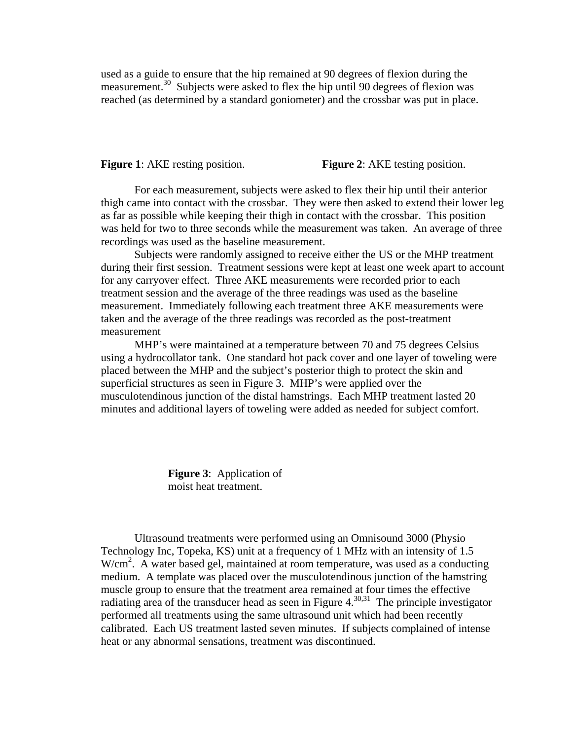used as a guide to ensure that the hip remained at 90 degrees of flexion during the measurement.<sup>30</sup> Subjects were asked to flex the hip until 90 degrees of flexion was reached (as determined by a standard goniometer) and the crossbar was put in place.

**Figure 1**: AKE resting position. **Figure 2**: AKE testing position.

For each measurement, subjects were asked to flex their hip until their anterior thigh came into contact with the crossbar. They were then asked to extend their lower leg as far as possible while keeping their thigh in contact with the crossbar. This position was held for two to three seconds while the measurement was taken. An average of three recordings was used as the baseline measurement.

 Subjects were randomly assigned to receive either the US or the MHP treatment during their first session. Treatment sessions were kept at least one week apart to account for any carryover effect. Three AKE measurements were recorded prior to each treatment session and the average of the three readings was used as the baseline measurement. Immediately following each treatment three AKE measurements were taken and the average of the three readings was recorded as the post-treatment measurement

 MHP's were maintained at a temperature between 70 and 75 degrees Celsius using a hydrocollator tank. One standard hot pack cover and one layer of toweling were placed between the MHP and the subject's posterior thigh to protect the skin and superficial structures as seen in Figure 3. MHP's were applied over the musculotendinous junction of the distal hamstrings. Each MHP treatment lasted 20 minutes and additional layers of toweling were added as needed for subject comfort.

> **Figure 3**: Application of moist heat treatment.

 Ultrasound treatments were performed using an Omnisound 3000 (Physio Technology Inc, Topeka, KS) unit at a frequency of 1 MHz with an intensity of 1.5 W/cm<sup>2</sup>. A water based gel, maintained at room temperature, was used as a conducting medium. A template was placed over the musculotendinous junction of the hamstring muscle group to ensure that the treatment area remained at four times the effective radiating area of the transducer head as seen in Figure  $4^{30,31}$ . The principle investigator performed all treatments using the same ultrasound unit which had been recently calibrated. Each US treatment lasted seven minutes. If subjects complained of intense heat or any abnormal sensations, treatment was discontinued.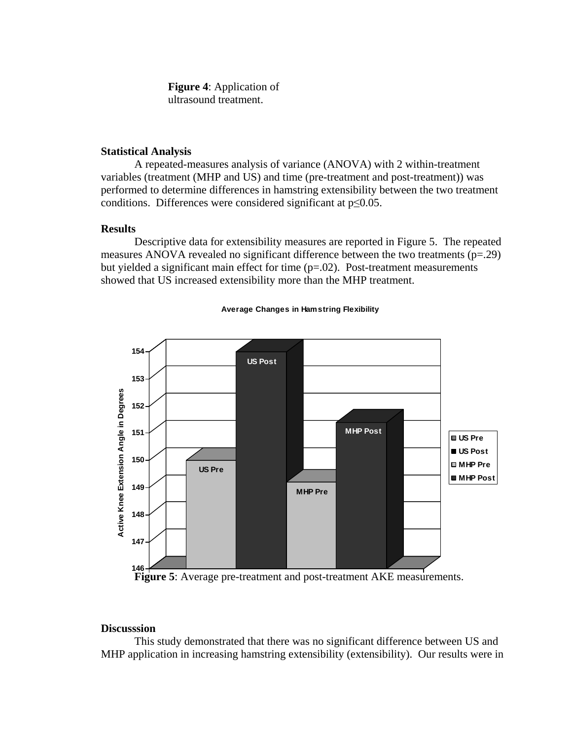**Figure 4**: Application of ultrasound treatment.

### **Statistical Analysis**

A repeated-measures analysis of variance (ANOVA) with 2 within-treatment variables (treatment (MHP and US) and time (pre-treatment and post-treatment)) was performed to determine differences in hamstring extensibility between the two treatment conditions. Differences were considered significant at p≤0.05.

## **Results**

Descriptive data for extensibility measures are reported in Figure 5. The repeated measures ANOVA revealed no significant difference between the two treatments  $(p=0.29)$ but yielded a significant main effect for time  $(p=.02)$ . Post-treatment measurements showed that US increased extensibility more than the MHP treatment.



#### **Average Changes in Hamstring Flexibility**

**Figure 5**: Average pre-treatment and post-treatment AKE measurements.

# **Discusssion**

This study demonstrated that there was no significant difference between US and MHP application in increasing hamstring extensibility (extensibility). Our results were in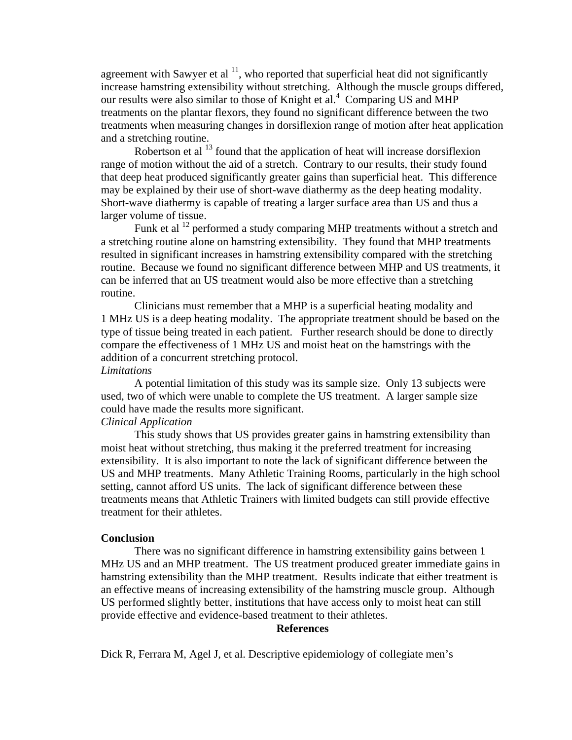agreement with Sawyer et al  $^{11}$ , who reported that superficial heat did not significantly increase hamstring extensibility without stretching. Although the muscle groups differed, our results were also similar to those of Knight et al.<sup>4</sup> Comparing US and MHP treatments on the plantar flexors, they found no significant difference between the two treatments when measuring changes in dorsiflexion range of motion after heat application and a stretching routine.

Robertson et al <sup>13</sup> found that the application of heat will increase dorsiflexion range of motion without the aid of a stretch. Contrary to our results, their study found that deep heat produced significantly greater gains than superficial heat. This difference may be explained by their use of short-wave diathermy as the deep heating modality. Short-wave diathermy is capable of treating a larger surface area than US and thus a larger volume of tissue.

Funk et al <sup>12</sup> performed a study comparing MHP treatments without a stretch and a stretching routine alone on hamstring extensibility. They found that MHP treatments resulted in significant increases in hamstring extensibility compared with the stretching routine. Because we found no significant difference between MHP and US treatments, it can be inferred that an US treatment would also be more effective than a stretching routine.

Clinicians must remember that a MHP is a superficial heating modality and 1 MHz US is a deep heating modality. The appropriate treatment should be based on the type of tissue being treated in each patient. Further research should be done to directly compare the effectiveness of 1 MHz US and moist heat on the hamstrings with the addition of a concurrent stretching protocol.

# *Limitations*

 A potential limitation of this study was its sample size. Only 13 subjects were used, two of which were unable to complete the US treatment. A larger sample size could have made the results more significant.

## *Clinical Application*

 This study shows that US provides greater gains in hamstring extensibility than moist heat without stretching, thus making it the preferred treatment for increasing extensibility. It is also important to note the lack of significant difference between the US and MHP treatments. Many Athletic Training Rooms, particularly in the high school setting, cannot afford US units. The lack of significant difference between these treatments means that Athletic Trainers with limited budgets can still provide effective treatment for their athletes.

#### **Conclusion**

 There was no significant difference in hamstring extensibility gains between 1 MHz US and an MHP treatment. The US treatment produced greater immediate gains in hamstring extensibility than the MHP treatment. Results indicate that either treatment is an effective means of increasing extensibility of the hamstring muscle group. Although US performed slightly better, institutions that have access only to moist heat can still provide effective and evidence-based treatment to their athletes.

#### **References**

Dick R, Ferrara M, Agel J, et al. Descriptive epidemiology of collegiate men's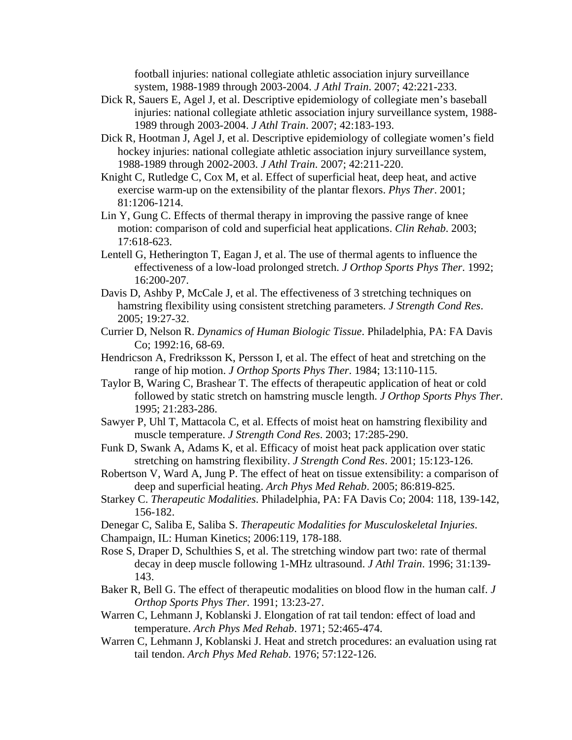football injuries: national collegiate athletic association injury surveillance system, 1988-1989 through 2003-2004. *J Athl Train*. 2007; 42:221-233.

- Dick R, Sauers E, Agel J, et al. Descriptive epidemiology of collegiate men's baseball injuries: national collegiate athletic association injury surveillance system, 1988- 1989 through 2003-2004. *J Athl Train*. 2007; 42:183-193.
- Dick R, Hootman J, Agel J, et al. Descriptive epidemiology of collegiate women's field hockey injuries: national collegiate athletic association injury surveillance system, 1988-1989 through 2002-2003. *J Athl Train*. 2007; 42:211-220.
- Knight C, Rutledge C, Cox M, et al. Effect of superficial heat, deep heat, and active exercise warm-up on the extensibility of the plantar flexors. *Phys Ther*. 2001; 81:1206-1214.
- Lin Y, Gung C. Effects of thermal therapy in improving the passive range of knee motion: comparison of cold and superficial heat applications. *Clin Rehab*. 2003; 17:618-623.
- Lentell G, Hetherington T, Eagan J, et al. The use of thermal agents to influence the effectiveness of a low-load prolonged stretch. *J Orthop Sports Phys Ther*. 1992; 16:200-207.
- Davis D, Ashby P, McCale J, et al. The effectiveness of 3 stretching techniques on hamstring flexibility using consistent stretching parameters. *J Strength Cond Res*. 2005; 19:27-32.
- Currier D, Nelson R. *Dynamics of Human Biologic Tissue*. Philadelphia, PA: FA Davis Co; 1992:16, 68-69.
- Hendricson A, Fredriksson K, Persson I, et al. The effect of heat and stretching on the range of hip motion. *J Orthop Sports Phys Ther*. 1984; 13:110-115.
- Taylor B, Waring C, Brashear T. The effects of therapeutic application of heat or cold followed by static stretch on hamstring muscle length. *J Orthop Sports Phys Ther*. 1995; 21:283-286.
- Sawyer P, Uhl T, Mattacola C, et al. Effects of moist heat on hamstring flexibility and muscle temperature. *J Strength Cond Res*. 2003; 17:285-290.
- Funk D, Swank A, Adams K, et al. Efficacy of moist heat pack application over static stretching on hamstring flexibility. *J Strength Cond Res*. 2001; 15:123-126.
- Robertson V, Ward A, Jung P. The effect of heat on tissue extensibility: a comparison of deep and superficial heating. *Arch Phys Med Rehab*. 2005; 86:819-825.
- Starkey C. *Therapeutic Modalities*. Philadelphia, PA: FA Davis Co; 2004: 118, 139-142, 156-182.
- Denegar C, Saliba E, Saliba S. *Therapeutic Modalities for Musculoskeletal Injuries*.
- Champaign, IL: Human Kinetics; 2006:119, 178-188.
- Rose S, Draper D, Schulthies S, et al. The stretching window part two: rate of thermal decay in deep muscle following 1-MHz ultrasound. *J Athl Train*. 1996; 31:139- 143.
- Baker R, Bell G. The effect of therapeutic modalities on blood flow in the human calf. *J Orthop Sports Phys Ther*. 1991; 13:23-27.
- Warren C, Lehmann J, Koblanski J. Elongation of rat tail tendon: effect of load and temperature. *Arch Phys Med Rehab*. 1971; 52:465-474.
- Warren C, Lehmann J, Koblanski J. Heat and stretch procedures: an evaluation using rat tail tendon. *Arch Phys Med Rehab*. 1976; 57:122-126.